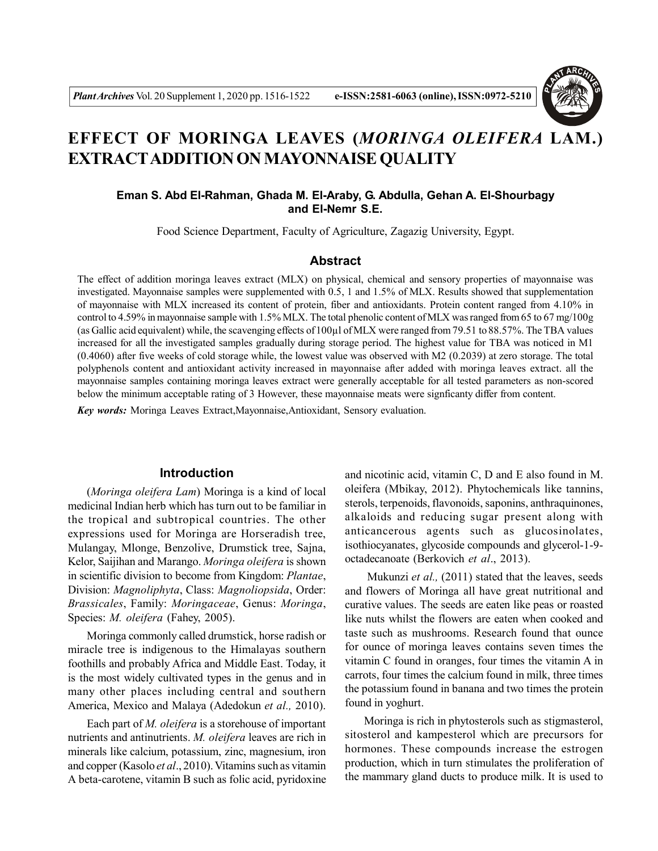

# **EFFECT OF MORINGA LEAVES (***MORINGA OLEIFERA* **LAM.) EXTRACTADDITION ON MAYONNAISE QUALITY**

# **Eman S. Abd El-Rahman, Ghada M. El-Araby, G. Abdulla, Gehan A. El-Shourbagy and El-Nemr S.E.**

Food Science Department, Faculty of Agriculture, Zagazig University, Egypt.

# **Abstract**

The effect of addition moringa leaves extract (MLX) on physical, chemical and sensory properties of mayonnaise was investigated. Mayonnaise samples were supplemented with 0.5, 1 and 1.5% of MLX. Results showed that supplementation of mayonnaise with MLX increased its content of protein, fiber and antioxidants. Protein content ranged from 4.10% in control to 4.59% in mayonnaise sample with 1.5% MLX. The total phenolic content of MLX was ranged from 65 to 67 mg/100g (as Gallic acid equivalent) while, the scavenging effects of 100µl of MLX were ranged from 79.51 to 88.57%. The TBA values increased for all the investigated samples gradually during storage period. The highest value for TBA was noticed in M1 (0.4060) after five weeks of cold storage while, the lowest value was observed with M2 (0.2039) at zero storage. The total polyphenols content and antioxidant activity increased in mayonnaise after added with moringa leaves extract. all the mayonnaise samples containing moringa leaves extract were generally acceptable for all tested parameters as non-scored below the minimum acceptable rating of 3 However, these mayonnaise meats were signficanty differ from content.

*Key words:* Moringa Leaves Extract,Mayonnaise,Antioxidant, Sensory evaluation.

# **Introduction**

(*Moringa oleifera Lam*) Moringa is a kind of local medicinal Indian herb which has turn out to be familiar in the tropical and subtropical countries. The other expressions used for Moringa are Horseradish tree, Mulangay, Mlonge, Benzolive, Drumstick tree, Sajna, Kelor, Saijihan and Marango. *Moringa oleifera* is shown in scientific division to become from Kingdom: *Plantae*, Division: *Magnoliphyta*, Class: *Magnoliopsida*, Order: *Brassicales*, Family: *Moringaceae*, Genus: *Moringa*, Species: *M. oleifera* (Fahey, 2005).

Moringa commonly called drumstick, horse radish or miracle tree is indigenous to the Himalayas southern foothills and probably Africa and Middle East. Today, it is the most widely cultivated types in the genus and in many other places including central and southern America, Mexico and Malaya (Adedokun *et al.,* 2010).

Each part of *M. oleifera* is a storehouse of important nutrients and antinutrients. *M. oleifera* leaves are rich in minerals like calcium, potassium, zinc, magnesium, iron and copper (Kasolo *et al*., 2010). Vitamins such as vitamin A beta-carotene, vitamin B such as folic acid, pyridoxine

and nicotinic acid, vitamin C, D and E also found in M. oleifera (Mbikay, 2012). Phytochemicals like tannins, sterols, terpenoids, flavonoids, saponins, anthraquinones, alkaloids and reducing sugar present along with anticancerous agents such as glucosinolates, isothiocyanates, glycoside compounds and glycerol-1-9 octadecanoate (Berkovich *et al*., 2013).

 Mukunzi *et al.,* (2011) stated that the leaves, seeds and flowers of Moringa all have great nutritional and curative values. The seeds are eaten like peas or roasted like nuts whilst the flowers are eaten when cooked and taste such as mushrooms. Research found that ounce for ounce of moringa leaves contains seven times the vitamin C found in oranges, four times the vitamin A in carrots, four times the calcium found in milk, three times the potassium found in banana and two times the protein found in yoghurt.

Moringa is rich in phytosterols such as stigmasterol, sitosterol and kampesterol which are precursors for hormones. These compounds increase the estrogen production, which in turn stimulates the proliferation of the mammary gland ducts to produce milk. It is used to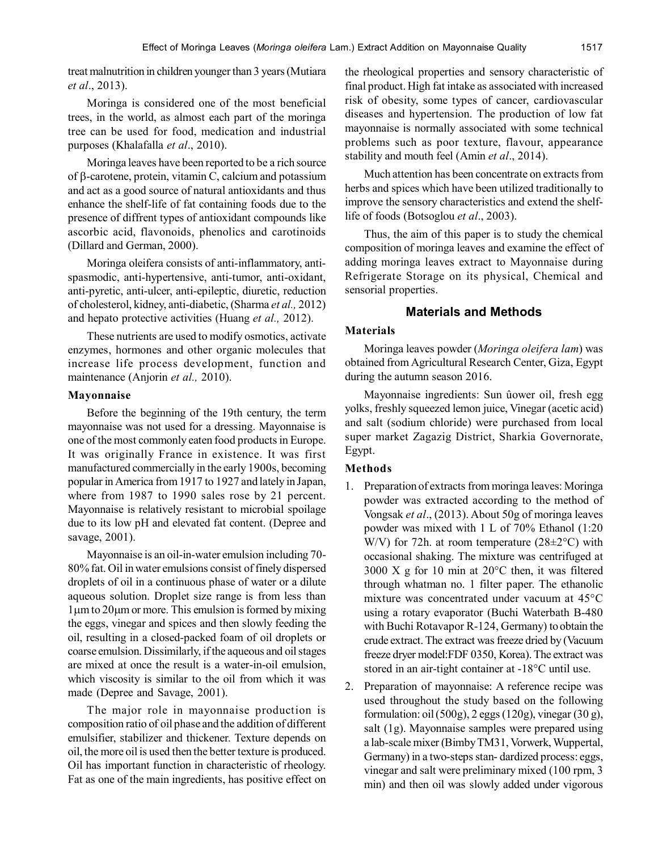treat malnutrition in children younger than 3 years (Mutiara *et al*., 2013).

Moringa is considered one of the most beneficial trees, in the world, as almost each part of the moringa tree can be used for food, medication and industrial purposes (Khalafalla *et al*., 2010).

Moringa leaves have been reported to be a rich source of  $\beta$ -carotene, protein, vitamin C, calcium and potassium and act as a good source of natural antioxidants and thus enhance the shelf-life of fat containing foods due to the presence of diffrent types of antioxidant compounds like ascorbic acid, flavonoids, phenolics and carotinoids (Dillard and German, 2000).

Moringa oleifera consists of anti-inflammatory, antispasmodic, anti-hypertensive, anti-tumor, anti-oxidant, anti-pyretic, anti-ulcer, anti-epileptic, diuretic, reduction of cholesterol, kidney, anti-diabetic, (Sharma *et al.,* 2012) and hepato protective activities (Huang *et al.,* 2012).

These nutrients are used to modify osmotics, activate enzymes, hormones and other organic molecules that increase life process development, function and maintenance (Anjorin *et al.,* 2010).

# **Mayonnaise**

Before the beginning of the 19th century, the term mayonnaise was not used for a dressing. Mayonnaise is one of the most commonly eaten food products in Europe. It was originally France in existence. It was first manufactured commercially in the early 1900s, becoming popular in America from 1917 to 1927 and lately in Japan, where from 1987 to 1990 sales rose by 21 percent. Mayonnaise is relatively resistant to microbial spoilage due to its low pH and elevated fat content. (Depree and savage, 2001).

Mayonnaise is an oil-in-water emulsion including 70- 80% fat. Oil in water emulsions consist of finely dispersed droplets of oil in a continuous phase of water or a dilute aqueous solution. Droplet size range is from less than  $1 \mu$ m to  $20 \mu$ m or more. This emulsion is formed by mixing the eggs, vinegar and spices and then slowly feeding the oil, resulting in a closed-packed foam of oil droplets or coarse emulsion. Dissimilarly, if the aqueous and oil stages are mixed at once the result is a water-in-oil emulsion, which viscosity is similar to the oil from which it was made (Depree and Savage, 2001).

The major role in mayonnaise production is composition ratio of oil phase and the addition of different emulsifier, stabilizer and thickener. Texture depends on oil, the more oil is used then the better texture is produced. Oil has important function in characteristic of rheology. Fat as one of the main ingredients, has positive effect on

the rheological properties and sensory characteristic of final product. High fat intake as associated with increased risk of obesity, some types of cancer, cardiovascular diseases and hypertension. The production of low fat mayonnaise is normally associated with some technical problems such as poor texture, flavour, appearance stability and mouth feel (Amin *et al*., 2014).

Much attention has been concentrate on extracts from herbs and spices which have been utilized traditionally to improve the sensory characteristics and extend the shelflife of foods (Botsoglou *et al*., 2003).

Thus, the aim of this paper is to study the chemical composition of moringa leaves and examine the effect of adding moringa leaves extract to Mayonnaise during Refrigerate Storage on its physical, Chemical and sensorial properties.

# **Materials and Methods**

## **Materials**

Moringa leaves powder (*Moringa oleifera lam*) was obtained from Agricultural Research Center, Giza, Egypt during the autumn season 2016.

Mayonnaise ingredients: Sun ûower oil, fresh egg yolks, freshly squeezed lemon juice, Vinegar (acetic acid) and salt (sodium chloride) were purchased from local super market Zagazig District, Sharkia Governorate, Egypt.

# **Methods**

- 1. Preparation of extracts from moringa leaves: Moringa powder was extracted according to the method of Vongsak *et al*., (2013). About 50g of moringa leaves powder was mixed with 1 L of 70% Ethanol (1:20 W/V) for 72h. at room temperature (28±2°C) with occasional shaking. The mixture was centrifuged at 3000 X g for 10 min at 20°C then, it was filtered through whatman no. 1 filter paper. The ethanolic mixture was concentrated under vacuum at 45°C using a rotary evaporator (Buchi Waterbath B-480 with Buchi Rotavapor R-124, Germany) to obtain the crude extract. The extract was freeze dried by (Vacuum freeze dryer model:FDF 0350, Korea). The extract was stored in an air-tight container at -18°C until use.
- 2. Preparation of mayonnaise: A reference recipe was used throughout the study based on the following formulation: oil (500g), 2 eggs (120g), vinegar (30 g), salt (1g). Mayonnaise samples were prepared using a lab-scale mixer (Bimby TM31, Vorwerk, Wuppertal, Germany) in a two-steps stan- dardized process: eggs, vinegar and salt were preliminary mixed (100 rpm, 3 min) and then oil was slowly added under vigorous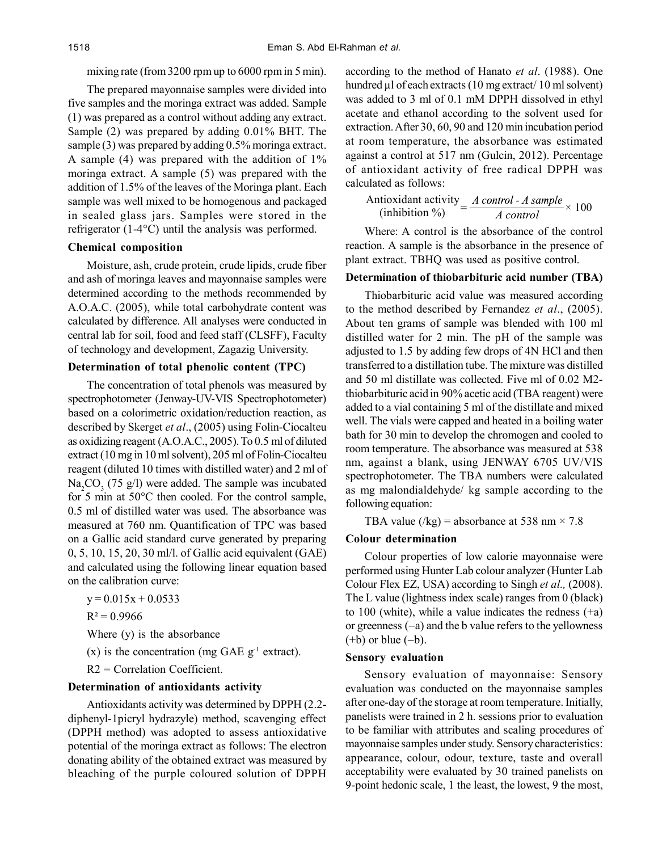# mixing rate (from 3200 rpm up to 6000 rpm in 5 min).

The prepared mayonnaise samples were divided into five samples and the moringa extract was added. Sample (1) was prepared as a control without adding any extract. Sample (2) was prepared by adding 0.01% BHT. The sample (3) was prepared by adding 0.5% moringa extract. A sample (4) was prepared with the addition of 1% moringa extract. A sample (5) was prepared with the addition of 1.5% of the leaves of the Moringa plant. Each sample was well mixed to be homogenous and packaged in sealed glass jars. Samples were stored in the refrigerator (1-4°C) until the analysis was performed.

# **Chemical composition**

Moisture, ash, crude protein, crude lipids, crude fiber and ash of moringa leaves and mayonnaise samples were determined according to the methods recommended by A.O.A.C. (2005), while total carbohydrate content was calculated by difference. All analyses were conducted in central lab for soil, food and feed staff (CLSFF), Faculty of technology and development, Zagazig University.

# **Determination of total phenolic content (TPC)**

The concentration of total phenols was measured by spectrophotometer (Jenway-UV-VIS Spectrophotometer) based on a colorimetric oxidation/reduction reaction, as described by Skerget *et al*., (2005) using Folin-Ciocalteu as oxidizing reagent (A.O.A.C., 2005). To 0.5 ml of diluted extract (10 mg in 10 ml solvent), 205 ml of Folin-Ciocalteu reagent (diluted 10 times with distilled water) and 2 ml of  $Na<sub>2</sub>CO<sub>3</sub>$  (75 g/l) were added. The sample was incubated for 5 min at 50°C then cooled. For the control sample, 0.5 ml of distilled water was used. The absorbance was measured at 760 nm. Quantification of TPC was based on a Gallic acid standard curve generated by preparing 0, 5, 10, 15, 20, 30 ml/l. of Gallic acid equivalent (GAE) and calculated using the following linear equation based on the calibration curve:

 $y = 0.015x + 0.0533$ 

 $R^2 = 0.9966$ 

Where (y) is the absorbance

(x) is the concentration (mg GAE  $g^{-1}$  extract).

R2 = Correlation Coefficient.

### **Determination of antioxidants activity**

Antioxidants activity was determined by DPPH (2.2 diphenyl-1picryl hydrazyle) method, scavenging effect (DPPH method) was adopted to assess antioxidative potential of the moringa extract as follows: The electron donating ability of the obtained extract was measured by bleaching of the purple coloured solution of DPPH

according to the method of Hanato *et al*. (1988). One hundred  $\mu$ l of each extracts (10 mg extract/ 10 ml solvent) was added to 3 ml of 0.1 mM DPPH dissolved in ethyl acetate and ethanol according to the solvent used for extraction. After 30, 60, 90 and 120 min incubation period at room temperature, the absorbance was estimated against a control at 517 nm (Gulcin, 2012). Percentage of antioxidant activity of free radical DPPH was calculated as follows:

Antioxidant activity 
$$
=
$$
  $\frac{A \text{ control} - A \text{ sample}}{A \text{ control}} \times 100$ 

Where: A control is the absorbance of the control reaction. A sample is the absorbance in the presence of plant extract. TBHQ was used as positive control.

### **Determination of thiobarbituric acid number (TBA)**

Thiobarbituric acid value was measured according to the method described by Fernandez *et al*., (2005). About ten grams of sample was blended with 100 ml distilled water for 2 min. The pH of the sample was adjusted to 1.5 by adding few drops of 4N HCl and then transferred to a distillation tube. The mixture was distilled and 50 ml distillate was collected. Five ml of 0.02 M2 thiobarbituric acid in 90% acetic acid (TBA reagent) were added to a vial containing 5 ml of the distillate and mixed well. The vials were capped and heated in a boiling water bath for 30 min to develop the chromogen and cooled to room temperature. The absorbance was measured at 538 nm, against a blank, using JENWAY 6705 UV/VIS spectrophotometer. The TBA numbers were calculated as mg malondialdehyde/ kg sample according to the following equation:

TBA value (/kg) = absorbance at 538 nm  $\times$  7.8

### **Colour determination**

Colour properties of low calorie mayonnaise were performed using Hunter Lab colour analyzer (Hunter Lab Colour Flex EZ, USA) according to Singh *et al.,* (2008). The L value (lightness index scale) ranges from 0 (black) to 100 (white), while a value indicates the redness (+a) or greenness  $(-a)$  and the b value refers to the yellowness  $(+b)$  or blue  $(-b)$ .

#### **Sensory evaluation**

Sensory evaluation of mayonnaise: Sensory evaluation was conducted on the mayonnaise samples after one-day of the storage at room temperature. Initially, panelists were trained in 2 h. sessions prior to evaluation to be familiar with attributes and scaling procedures of mayonnaise samples under study. Sensory characteristics: appearance, colour, odour, texture, taste and overall acceptability were evaluated by 30 trained panelists on 9-point hedonic scale, 1 the least, the lowest, 9 the most,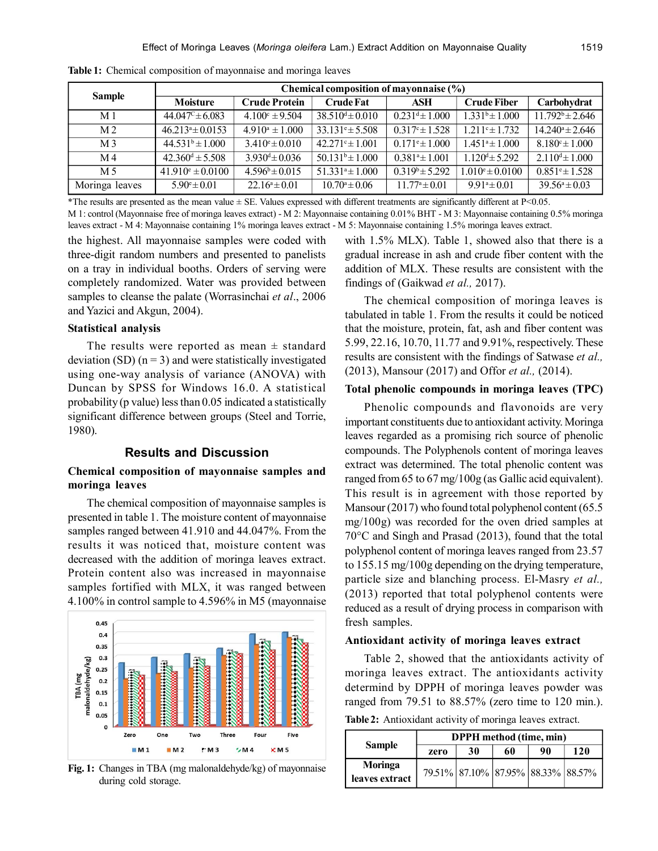|                | Chemical composition of mayonnaise (%) |                              |                            |                           |                            |                           |  |
|----------------|----------------------------------------|------------------------------|----------------------------|---------------------------|----------------------------|---------------------------|--|
| <b>Sample</b>  | Moisture                               | <b>Crude Protein</b>         | <b>Crude Fat</b>           | ASH                       | <b>Crude Fiber</b>         | Carbohydrat               |  |
| M <sub>1</sub> | $44.047^{\circ} \pm 6.083$             | $4.100^{\circ} \pm 9.504$    | $38.510^{d} \pm 0.010$     | $0.231^{d} \pm 1.000$     | $1.331b \pm 1.000$         | $11.792^b \pm 2.646$      |  |
| M <sub>2</sub> | $46.213^{\circ} \pm 0.0153$            | $4.910^a \pm 1.000$          | $33.131^{\circ} \pm 5.508$ | $0.317^{\circ} \pm 1.528$ | $1.211$ ° $\pm$ 1.732      | $14.240^a \pm 2.646$      |  |
| M 3            | $44.531^b \pm 1.000$                   | $3.410^{\circ} \pm 0.010$    | $42.271^{\circ} \pm 1.001$ | $0.171^{\circ} \pm 1.000$ | $1.451^a \pm 1.000$        | $8.180^{\circ} \pm 1.000$ |  |
| M 4            | $42.360^{\text{d}} \pm 5.508$          | $3.930^{\text{d}} \pm 0.036$ | $50.131^b \pm 1.000$       | $0.381^a \pm 1.001$       | $1.120^{d} \pm 5.292$      | $2.110^{d} \pm 1.000$     |  |
| M 5            | $41.910^{\circ} \pm 0.0100$            | $4.596^b \pm 0.015$          | $51.331^a \pm 1.000$       | $0.319^b \pm 5.292$       | $1.010^{\circ} \pm 0.0100$ | $0.851^{\circ} \pm 1.528$ |  |
| Moringa leaves | $5.90^{\circ} \pm 0.01$                | $22.16^a \pm 0.01$           | $10.70^a \pm 0.06$         | $11.77^{\circ} \pm 0.01$  | $9.91a \pm 0.01$           | $39.56^a \pm 0.03$        |  |

**Table 1:** Chemical composition of mayonnaise and moringa leaves

\*The results are presented as the mean value  $\pm$  SE. Values expressed with different treatments are significantly different at P<0.05. M 1: control (Mayonnaise free of moringa leaves extract) - M 2: Mayonnaise containing 0.01% BHT - M 3: Mayonnaise containing 0.5% moringa leaves extract - M 4: Mayonnaise containing 1% moringa leaves extract - M 5: Mayonnaise containing 1.5% moringa leaves extract.

the highest. All mayonnaise samples were coded with three-digit random numbers and presented to panelists on a tray in individual booths. Orders of serving were completely randomized. Water was provided between samples to cleanse the palate (Worrasinchai *et al*., 2006 and Yazici and Akgun, 2004).

### **Statistical analysis**

The results were reported as mean  $\pm$  standard deviation (SD)  $(n = 3)$  and were statistically investigated using one-way analysis of variance (ANOVA) with Duncan by SPSS for Windows 16.0. A statistical probability (p value) less than 0.05 indicated a statistically significant difference between groups (Steel and Torrie, 1980).

### **Results and Discussion**

# **Chemical composition of mayonnaise samples and moringa leaves**

The chemical composition of mayonnaise samples is presented in table 1. The moisture content of mayonnaise samples ranged between 41.910 and 44.047%. From the results it was noticed that, moisture content was decreased with the addition of moringa leaves extract. Protein content also was increased in mayonnaise samples fortified with MLX, it was ranged between 4.100% in control sample to 4.596% in M5 (mayonnaise



**Fig. 1:** Changes in TBA (mg malonaldehyde/kg) of mayonnaise during cold storage.

with 1.5% MLX). Table 1, showed also that there is a gradual increase in ash and crude fiber content with the addition of MLX. These results are consistent with the findings of (Gaikwad *et al.,* 2017).

The chemical composition of moringa leaves is tabulated in table 1. From the results it could be noticed that the moisture, protein, fat, ash and fiber content was 5.99, 22.16, 10.70, 11.77 and 9.91%, respectively. These results are consistent with the findings of Satwase *et al.,* (2013), Mansour (2017) and Offor *et al.,* (2014).

## **Total phenolic compounds in moringa leaves (TPC)**

Phenolic compounds and flavonoids are very important constituents due to antioxidant activity. Moringa leaves regarded as a promising rich source of phenolic compounds. The Polyphenols content of moringa leaves extract was determined. The total phenolic content was ranged from 65 to 67 mg/100g (as Gallic acid equivalent). This result is in agreement with those reported by Mansour (2017) who found total polyphenol content (65.5 mg/100g) was recorded for the oven dried samples at 70°C and Singh and Prasad (2013), found that the total polyphenol content of moringa leaves ranged from 23.57 to 155.15 mg/100g depending on the drying temperature, particle size and blanching process. El-Masry *et al.,* (2013) reported that total polyphenol contents were reduced as a result of drying process in comparison with fresh samples.

#### **Antioxidant activity of moringa leaves extract**

Table 2, showed that the antioxidants activity of moringa leaves extract. The antioxidants activity determind by DPPH of moringa leaves powder was ranged from 79.51 to 88.57% (zero time to 120 min.).

**Table 2:** Antioxidant activity of moringa leaves extract.

|                | <b>DPPH</b> method (time, min) |                                    |    |    |     |  |
|----------------|--------------------------------|------------------------------------|----|----|-----|--|
| <b>Sample</b>  | zero                           | 30                                 | 60 | 90 | 120 |  |
| Moringa        |                                | 79.51% 87.10% 87.95% 88.33% 88.57% |    |    |     |  |
| leaves extract |                                |                                    |    |    |     |  |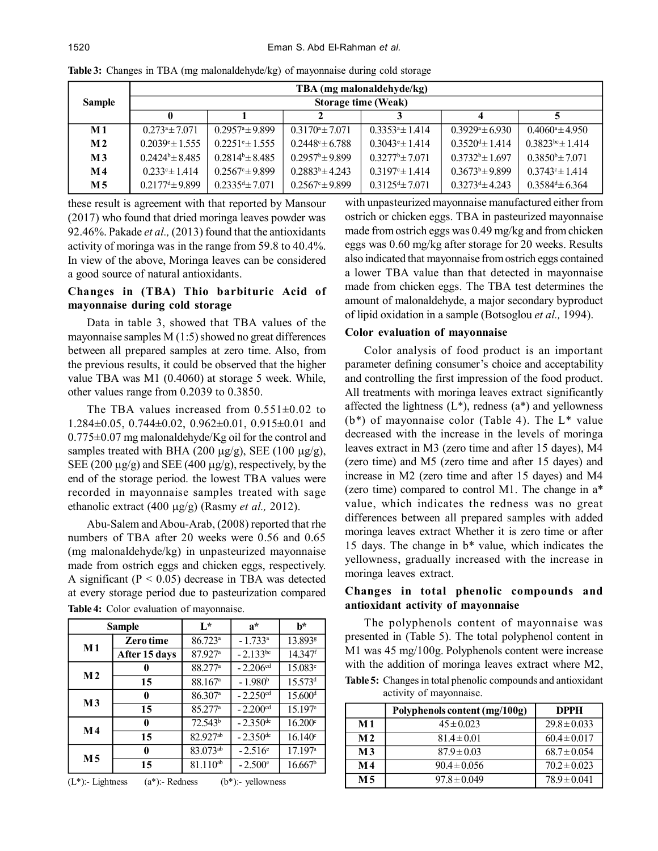|                | TBA (mg malonaldehyde/kg)  |                               |                            |                            |                            |                            |  |
|----------------|----------------------------|-------------------------------|----------------------------|----------------------------|----------------------------|----------------------------|--|
| <b>Sample</b>  | <b>Storage time (Weak)</b> |                               |                            |                            |                            |                            |  |
|                | 0                          |                               |                            |                            |                            |                            |  |
| M 1            | $0.273^a \pm 7.071$        | $0.2957^{\circ}$ ± 9.899      | $0.3170^a \pm 7.071$       | $0.3353^a \pm 1.414$       | $0.3929^{\circ} \pm 6.930$ | $0.4060^{\circ} \pm 4.950$ |  |
| M <sub>2</sub> | $0.2039^{\circ} \pm 1.555$ | $0.2251$ <sup>e</sup> ± 1.555 | $0.2448^{\circ} \pm 6.788$ | $0.3043^{\circ} \pm 1.414$ | $0.3520^{d} \pm 1.414$     | $0.3823^{bc} \pm 1.414$    |  |
| M <sub>3</sub> | $0.2424^b \pm 8.485$       | $0.2814^{b} \pm 8.485$        | $0.2957^b \pm 9.899$       | $0.3277^b \pm 7.071$       | $0.3732^b \pm 1.697$       | $0.3850^{\circ} \pm 7.071$ |  |
| $\bf M$ 4      | $0.233^{\circ} \pm 1.414$  | $0.2567^{\circ} \pm 9.899$    | $0.2883^b \pm 4.243$       | $0.3197^{\circ} \pm 1.414$ | $0.3673^b \pm 9.899$       | $0.3743^{\circ} \pm 1.414$ |  |
| M 5            | $0.2177^{d} \pm 9.899$     | $0.2335^{d} \pm 7.071$        | $0.2567^{\circ} \pm 9.899$ | $0.3125d + 7.071$          | $0.3273^{d} \pm 4.243$     | $0.3584^{d} \pm 6.364$     |  |

**Table 3:** Changes in TBA (mg malonaldehyde/kg) of mayonnaise during cold storage

these result is agreement with that reported by Mansour (2017) who found that dried moringa leaves powder was 92.46%. Pakade *et al.,* (2013) found that the antioxidants activity of moringa was in the range from 59.8 to 40.4%. In view of the above, Moringa leaves can be considered a good source of natural antioxidants.

# **Changes in (TBA) Thio barbituric Acid of mayonnaise during cold storage**

Data in table 3, showed that TBA values of the mayonnaise samples M (1:5) showed no great differences between all prepared samples at zero time. Also, from the previous results, it could be observed that the higher value TBA was M1 (0.4060) at storage 5 week. While, other values range from 0.2039 to 0.3850.

The TBA values increased from  $0.551 \pm 0.02$  to 1.284±0.05, 0.744±0.02, 0.962±0.01, 0.915±0.01 and 0.775±0.07 mg malonaldehyde/Kg oil for the control and samples treated with BHA (200  $\mu$ g/g), SEE (100  $\mu$ g/g), SEE (200  $\mu$ g/g) and SEE (400  $\mu$ g/g), respectively, by the end of the storage period. the lowest TBA values were recorded in mayonnaise samples treated with sage ethanolic extract (400 μg/g) (Rasmy *et al.*, 2012).

Abu-Salem and Abou-Arab, (2008) reported that rhe numbers of TBA after 20 weeks were 0.56 and 0.65 (mg malonaldehyde/kg) in unpasteurized mayonnaise made from ostrich eggs and chicken eggs, respectively. A significant ( $P < 0.05$ ) decrease in TBA was detected at every storage period due to pasteurization compared

| Sample         |                  | $L^*$                 | $a^*$                  | h*                    |
|----------------|------------------|-----------------------|------------------------|-----------------------|
| $M1$           | <b>Zero time</b> | $86.723$ <sup>a</sup> | $-1.733^a$             | 13.893 <sup>g</sup>   |
|                | After 15 days    | 87.927a               | $-2.133^{bc}$          | 14.347 <sup>f</sup>   |
| M <sub>2</sub> | 0                | 88.277 <sup>a</sup>   | $-2.206cd$             | 15.083 <sup>e</sup>   |
|                | 15               | 88.167 <sup>a</sup>   | $-1.980b$              | 15.573 <sup>d</sup>   |
| M <sub>3</sub> | 0                | $86.307$ <sup>a</sup> | $-2.250cd$             | 15.600 <sup>d</sup>   |
|                | 15               | 85.277 <sup>a</sup>   | $-2.200cd$             | $15.197$ <sup>e</sup> |
| M4             | 0                | 72.543 <sup>b</sup>   | $-2.350^{\text{de}}$   | 16.200c               |
|                | 15               | 82.927ab              | $-2.350$ <sup>de</sup> | $16.140^{\circ}$      |
| M 5            | 0                | $83.073^{ab}$         | $-2.516^{\circ}$       | 17.197a               |
|                | 15               | 81.110 <sup>ab</sup>  | $-2.500^{\circ}$       | 16.667 <sup>b</sup>   |

**Table 4:** Color evaluation of mayonnaise.



with unpasteurized mayonnaise manufactured either from ostrich or chicken eggs. TBA in pasteurized mayonnaise made from ostrich eggs was 0.49 mg/kg and from chicken eggs was 0.60 mg/kg after storage for 20 weeks. Results also indicated that mayonnaise from ostrich eggs contained a lower TBA value than that detected in mayonnaise made from chicken eggs. The TBA test determines the amount of malonaldehyde, a major secondary byproduct of lipid oxidation in a sample (Botsoglou *et al.,* 1994).

### **Color evaluation of mayonnaise**

Color analysis of food product is an important parameter defining consumer's choice and acceptability and controlling the first impression of the food product. All treatments with moringa leaves extract significantly affected the lightness  $(L^*)$ , redness  $(a^*)$  and yellowness (b\*) of mayonnaise color (Table 4). The L\* value decreased with the increase in the levels of moringa leaves extract in M3 (zero time and after 15 dayes), M4 (zero time) and M5 (zero time and after 15 dayes) and increase in M2 (zero time and after 15 dayes) and M4 (zero time) compared to control M1. The change in a\* value, which indicates the redness was no great differences between all prepared samples with added moringa leaves extract Whether it is zero time or after 15 days. The change in b\* value, which indicates the yellowness, gradually increased with the increase in moringa leaves extract.

# **Changes in total phenolic compounds and antioxidant activity of mayonnaise**

The polyphenols content of mayonnaise was presented in (Table 5). The total polyphenol content in M1 was 45 mg/100g. Polyphenols content were increase with the addition of moringa leaves extract where M2, **Table 5:** Changes in total phenolic compounds and antioxidant activity of mayonnaise.

|                | Polyphenols content (mg/100g) | <b>DPPH</b>      |
|----------------|-------------------------------|------------------|
| M <sub>1</sub> | $45 \pm 0.023$                | $29.8 \pm 0.033$ |
| M <sub>2</sub> | $81.4 \pm 0.01$               | $60.4 \pm 0.017$ |
| M <sub>3</sub> | $87.9 \pm 0.03$               | $68.7 \pm 0.054$ |
| M 4            | $90.4 \pm 0.056$              | $70.2 \pm 0.023$ |
| M 5            | $97.8 \pm 0.049$              | $78.9 \pm 0.041$ |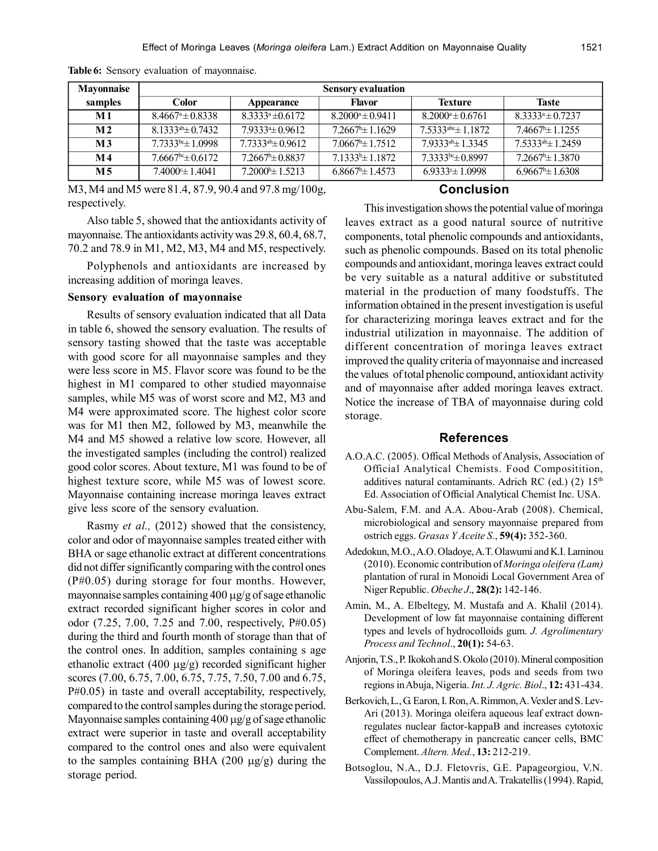| Mayonnaise     | <b>Sensory evaluation</b>   |                           |                               |                                      |                               |  |
|----------------|-----------------------------|---------------------------|-------------------------------|--------------------------------------|-------------------------------|--|
| samples        | Color                       | Appearance                | <b>Flavor</b>                 | <b>Texture</b>                       | Taste                         |  |
| M1             | $8.4667^{\circ} \pm 0.8338$ | $8.3333^a \pm 0.6172$     | $8.2000^a \pm 0.9411$         | $8.2000^a \pm 0.6761$                | $8.3333^a \pm 0.7237$         |  |
| M <sub>2</sub> | $8.1333^{ab} \pm 0.7432$    | $7.9333 \pm 0.9612$       | $7.2667^{\circ}$ ± 1.1629     | $7.5333$ <sup>abc</sup> $\pm$ 1.1872 | $7.4667^{\circ}$ $\pm$ 1.1255 |  |
| M <sub>3</sub> | $7.7333^{bc} \pm 1.0998$    | $7.7333^{ab} \pm 0.9612$  | $7.0667^{\circ}$ ± 1.7512     | $7.9333^{ab} \pm 1.3345$             | $7.5333^{ab} \pm 1.2459$      |  |
| M 4            | $7.6667bc \pm 0.6172$       | $7.2667^{\circ}$ ± 0.8837 | $7.1333^{\circ}$ $\pm$ 1.1872 | $7.3333^{bc} \pm 0.8997$             | $7.2667^{\circ}$ ± 1.3870     |  |
| M 5            | $7.4000 \pm 1.4041$         | $7.2000^{\circ}$ ± 1.5213 | $6.8667^{\circ}$ ± 1.4573     | $6.9333 \pm 1.0998$                  | $6.9667^{\circ}$ ± 1.6308     |  |

**Table 6:** Sensory evaluation of mayonnaise.

M3, M4 and M5 were 81.4, 87.9, 90.4 and 97.8 mg/100g, respectively.

Also table 5, showed that the antioxidants activity of mayonnaise. The antioxidants activity was 29.8, 60.4, 68.7, 70.2 and 78.9 in M1, M2, M3, M4 and M5, respectively.

Polyphenols and antioxidants are increased by increasing addition of moringa leaves.

#### **Sensory evaluation of mayonnaise**

Results of sensory evaluation indicated that all Data in table 6, showed the sensory evaluation. The results of sensory tasting showed that the taste was acceptable with good score for all mayonnaise samples and they were less score in M5. Flavor score was found to be the highest in M1 compared to other studied mayonnaise samples, while M5 was of worst score and M2, M3 and M4 were approximated score. The highest color score was for M1 then M2, followed by M3, meanwhile the M4 and M5 showed a relative low score. However, all the investigated samples (including the control) realized good color scores. About texture, M1 was found to be of highest texture score, while M5 was of lowest score. Mayonnaise containing increase moringa leaves extract give less score of the sensory evaluation.

Rasmy *et al.,* (2012) showed that the consistency, color and odor of mayonnaise samples treated either with BHA or sage ethanolic extract at different concentrations did not differ significantly comparing with the control ones (P#0.05) during storage for four months. However, mayonnaise samples containing  $400 \mu g/g$  of sage ethanolic extract recorded significant higher scores in color and odor (7.25, 7.00, 7.25 and 7.00, respectively, P#0.05) during the third and fourth month of storage than that of the control ones. In addition, samples containing s age ethanolic extract (400  $\mu$ g/g) recorded significant higher scores (7.00, 6.75, 7.00, 6.75, 7.75, 7.50, 7.00 and 6.75, P#0.05) in taste and overall acceptability, respectively, compared to the control samples during the storage period. Mayonnaise samples containing 400  $\mu$ g/g of sage ethanolic extract were superior in taste and overall acceptability compared to the control ones and also were equivalent to the samples containing BHA (200  $\mu$ g/g) during the storage period.

# **Conclusion**

This investigation shows the potential value of moringa leaves extract as a good natural source of nutritive components, total phenolic compounds and antioxidants, such as phenolic compounds. Based on its total phenolic compounds and antioxidant, moringa leaves extract could be very suitable as a natural additive or substituted material in the production of many foodstuffs. The information obtained in the present investigation is useful for characterizing moringa leaves extract and for the industrial utilization in mayonnaise. The addition of different concentration of moringa leaves extract improved the quality criteria of mayonnaise and increased the values of total phenolic compound, antioxidant activity and of mayonnaise after added moringa leaves extract. Notice the increase of TBA of mayonnaise during cold storage.

### **References**

- A.O.A.C. (2005). Offical Methods of Analysis, Association of Official Analytical Chemists. Food Compositition, additives natural contaminants. Adrich RC (ed.)  $(2)$  15<sup>th</sup> Ed. Association of Official Analytical Chemist Inc. USA.
- Abu-Salem, F.M. and A.A. Abou-Arab (2008). Chemical, microbiological and sensory mayonnaise prepared from ostrich eggs. *Grasas Y Aceite S.*, **59(4):** 352-360.
- Adedokun, M.O., A.O. Oladoye, A.T. Olawumi and K.I. Laminou (2010). Economic contribution of *Moringa oleifera (Lam)* plantation of rural in Monoidi Local Government Area of Niger Republic. *Obeche J*., **28(2):** 142-146.
- Amin, M., A. Elbeltegy, M. Mustafa and A. Khalil (2014). Development of low fat mayonnaise containing different types and levels of hydrocolloids gum. *J. Agrolimentary Process and Technol*., **20(1):** 54-63.
- Anjorin, T.S., P. Ikokoh and S. Okolo (2010). Mineral composition of Moringa oleifera leaves, pods and seeds from two regions in Abuja, Nigeria. *Int. J. Agric. Biol*., **12:** 431-434.
- Berkovich, L., G. Earon, I. Ron, A. Rimmon, A. Vexler and S. Lev-Ari (2013). Moringa oleifera aqueous leaf extract downregulates nuclear factor-kappaB and increases cytotoxic effect of chemotherapy in pancreatic cancer cells, BMC Complement. *Altern. Med.*, **13:** 212-219.
- Botsoglou, N.A., D.J. Fletovris, G.E. Papageorgiou, V.N. Vassilopoulos, A.J. Mantis and A. Trakatellis (1994). Rapid,